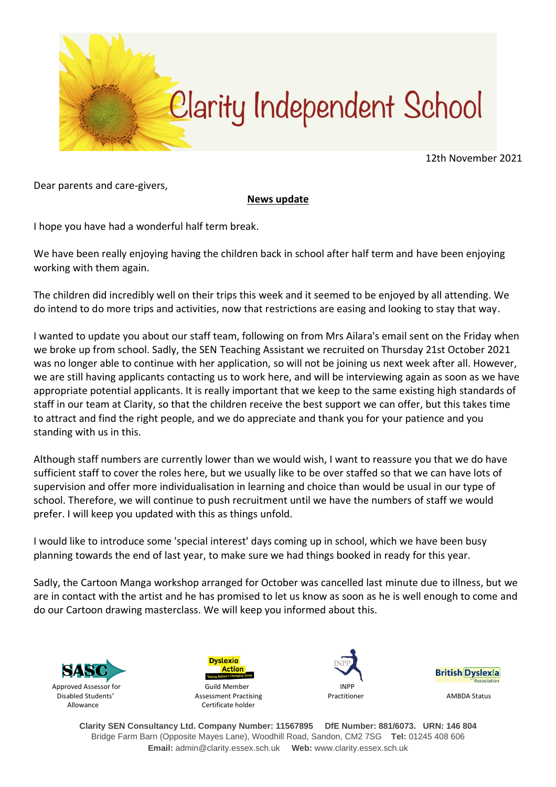

12th November 2021

Dear parents and care-givers,

## **News update**

I hope you have had a wonderful half term break.

We have been really enjoying having the children back in school after half term and have been enjoying working with them again.

The children did incredibly well on their trips this week and it seemed to be enjoyed by all attending. We do intend to do more trips and activities, now that restrictions are easing and looking to stay that way.

I wanted to update you about our staff team, following on from Mrs Ailara's email sent on the Friday when we broke up from school. Sadly, the SEN Teaching Assistant we recruited on Thursday 21st October 2021 was no longer able to continue with her application, so will not be joining us next week after all. However, we are still having applicants contacting us to work here, and will be interviewing again as soon as we have appropriate potential applicants. It is really important that we keep to the same existing high standards of staff in our team at Clarity, so that the children receive the best support we can offer, but this takes time to attract and find the right people, and we do appreciate and thank you for your patience and you standing with us in this.

Although staff numbers are currently lower than we would wish, I want to reassure you that we do have sufficient staff to cover the roles here, but we usually like to be over staffed so that we can have lots of supervision and offer more individualisation in learning and choice than would be usual in our type of school. Therefore, we will continue to push recruitment until we have the numbers of staff we would prefer. I will keep you updated with this as things unfold.

I would like to introduce some 'special interest' days coming up in school, which we have been busy planning towards the end of last year, to make sure we had things booked in ready for this year.

Sadly, the Cartoon Manga workshop arranged for October was cancelled last minute due to illness, but we are in contact with the artist and he has promised to let us know as soon as he is well enough to come and do our Cartoon drawing masterclass. We will keep you informed about this.









**Clarity SEN Consultancy Ltd. Company Number: 11567895 DfE Number: 881/6073. URN: 146 804** Bridge Farm Barn (Opposite Mayes Lane), Woodhill Road, Sandon, CM2 7SG **Tel:** 01245 408 606 **Email:** admin@clarity.essex.sch.uk **Web:** www.clarity.essex.sch.uk